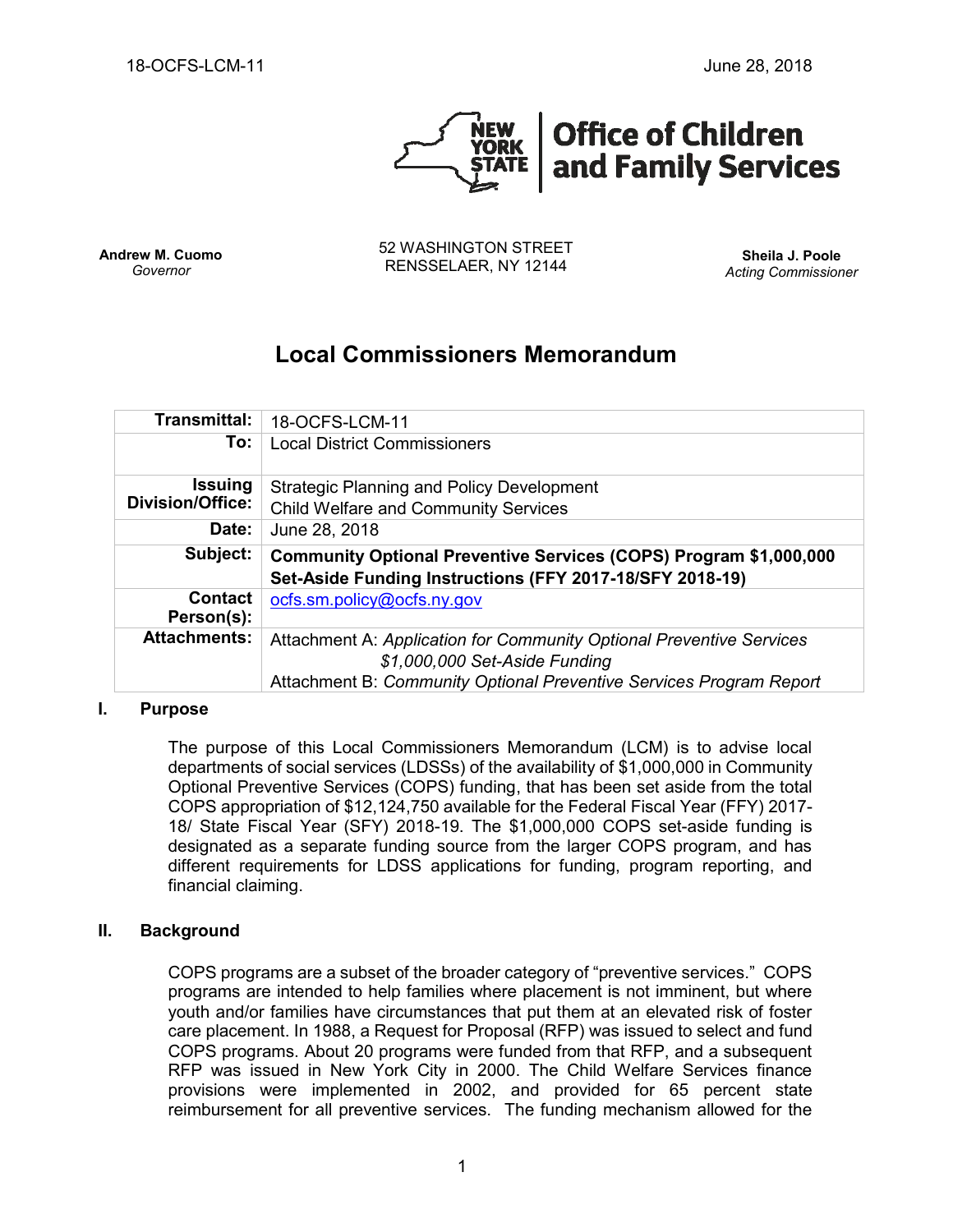

**Andrew M. Cuomo** *Governor*

52 WASHINGTON STREET RENSSELAER, NY 12144 **Sheila J. Poole**

*Acting Commissioner*

# **Local Commissioners Memorandum**

| <b>Transmittal:</b>                       | 18-OCFS-LCM-11                                                                                                                |
|-------------------------------------------|-------------------------------------------------------------------------------------------------------------------------------|
| To:                                       | <b>Local District Commissioners</b>                                                                                           |
| <b>Issuing</b><br><b>Division/Office:</b> | <b>Strategic Planning and Policy Development</b>                                                                              |
|                                           | <b>Child Welfare and Community Services</b>                                                                                   |
| Date:                                     | June 28, 2018                                                                                                                 |
| Subject:                                  | Community Optional Preventive Services (COPS) Program \$1,000,000<br>Set-Aside Funding Instructions (FFY 2017-18/SFY 2018-19) |
| <b>Contact</b><br>Person(s):              | ocfs.sm.policy@ocfs.ny.gov                                                                                                    |
| <b>Attachments:</b>                       | Attachment A: Application for Community Optional Preventive Services<br>\$1,000,000 Set-Aside Funding                         |
|                                           | Attachment B: Community Optional Preventive Services Program Report                                                           |

#### **I. Purpose**

The purpose of this Local Commissioners Memorandum (LCM) is to advise local departments of social services (LDSSs) of the availability of \$1,000,000 in Community Optional Preventive Services (COPS) funding, that has been set aside from the total COPS appropriation of \$12,124,750 available for the Federal Fiscal Year (FFY) 2017- 18/ State Fiscal Year (SFY) 2018-19. The \$1,000,000 COPS set-aside funding is designated as a separate funding source from the larger COPS program, and has different requirements for LDSS applications for funding, program reporting, and financial claiming.

### **II. Background**

COPS programs are a subset of the broader category of "preventive services." COPS programs are intended to help families where placement is not imminent, but where youth and/or families have circumstances that put them at an elevated risk of foster care placement. In 1988, a Request for Proposal (RFP) was issued to select and fund COPS programs. About 20 programs were funded from that RFP, and a subsequent RFP was issued in New York City in 2000. The Child Welfare Services finance provisions were implemented in 2002, and provided for 65 percent state reimbursement for all preventive services. The funding mechanism allowed for the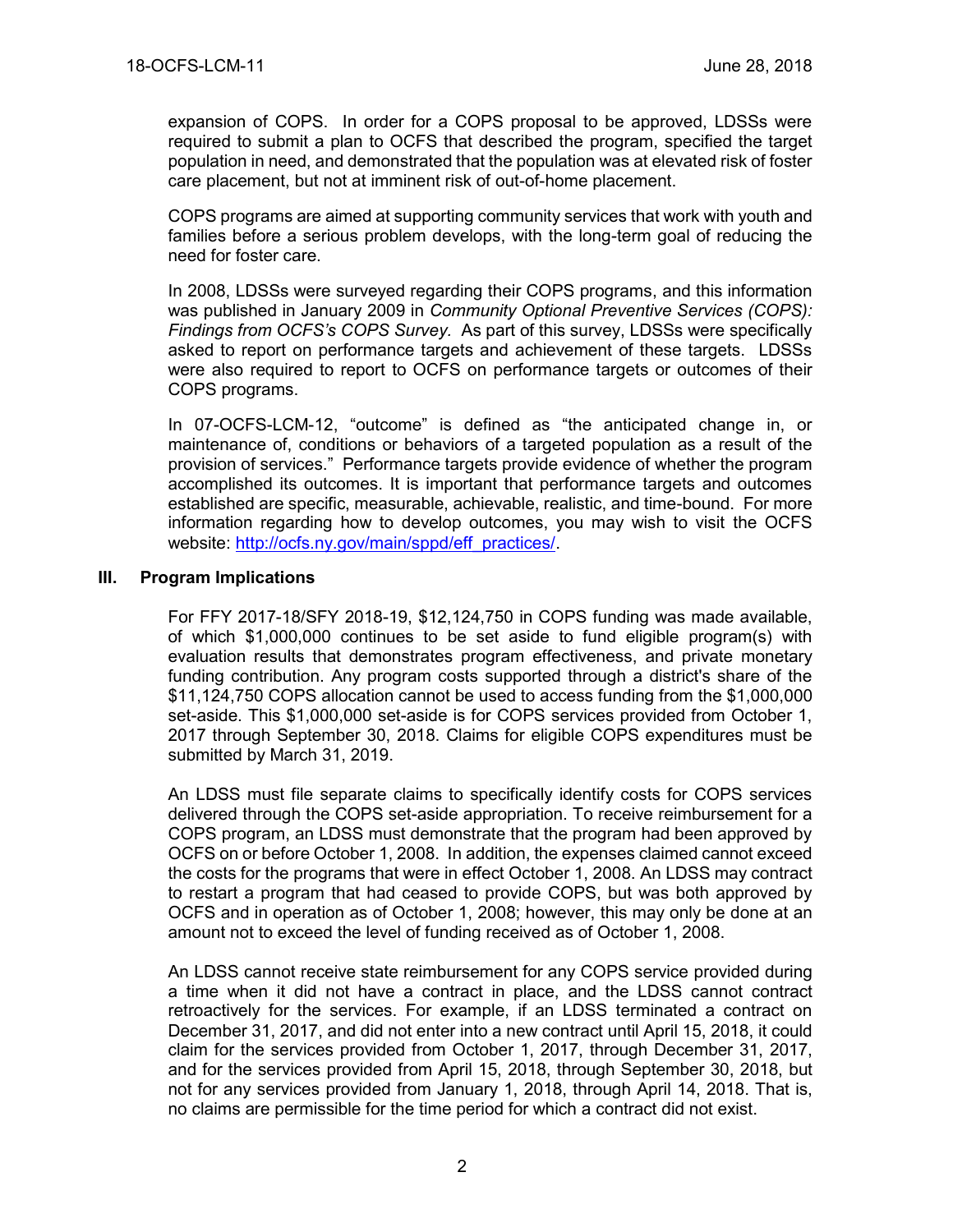expansion of COPS. In order for a COPS proposal to be approved, LDSSs were required to submit a plan to OCFS that described the program, specified the target population in need, and demonstrated that the population was at elevated risk of foster care placement, but not at imminent risk of out-of-home placement.

COPS programs are aimed at supporting community services that work with youth and families before a serious problem develops, with the long-term goal of reducing the need for foster care.

In 2008, LDSSs were surveyed regarding their COPS programs, and this information was published in January 2009 in *Community Optional Preventive Services (COPS): Findings from OCFS's COPS Survey.* As part of this survey, LDSSs were specifically asked to report on performance targets and achievement of these targets. LDSSs were also required to report to OCFS on performance targets or outcomes of their COPS programs.

In 07-OCFS-LCM-12, "outcome" is defined as "the anticipated change in, or maintenance of, conditions or behaviors of a targeted population as a result of the provision of services." Performance targets provide evidence of whether the program accomplished its outcomes. It is important that performance targets and outcomes established are specific, measurable, achievable, realistic, and time-bound. For more information regarding how to develop outcomes, you may wish to visit the OCFS website: [http://ocfs.ny.gov/main/sppd/eff\\_practices/.](http://ocfs.ny.gov/main/sppd/eff_practices/)

### **III. Program Implications**

For FFY 2017-18/SFY 2018-19, \$12,124,750 in COPS funding was made available, of which \$1,000,000 continues to be set aside to fund eligible program(s) with evaluation results that demonstrates program effectiveness, and private monetary funding contribution. Any program costs supported through a district's share of the \$11,124,750 COPS allocation cannot be used to access funding from the \$1,000,000 set-aside. This \$1,000,000 set-aside is for COPS services provided from October 1, 2017 through September 30, 2018. Claims for eligible COPS expenditures must be submitted by March 31, 2019.

An LDSS must file separate claims to specifically identify costs for COPS services delivered through the COPS set-aside appropriation. To receive reimbursement for a COPS program, an LDSS must demonstrate that the program had been approved by OCFS on or before October 1, 2008. In addition, the expenses claimed cannot exceed the costs for the programs that were in effect October 1, 2008. An LDSS may contract to restart a program that had ceased to provide COPS, but was both approved by OCFS and in operation as of October 1, 2008; however, this may only be done at an amount not to exceed the level of funding received as of October 1, 2008.

An LDSS cannot receive state reimbursement for any COPS service provided during a time when it did not have a contract in place, and the LDSS cannot contract retroactively for the services. For example, if an LDSS terminated a contract on December 31, 2017, and did not enter into a new contract until April 15, 2018, it could claim for the services provided from October 1, 2017, through December 31, 2017, and for the services provided from April 15, 2018, through September 30, 2018, but not for any services provided from January 1, 2018, through April 14, 2018. That is, no claims are permissible for the time period for which a contract did not exist.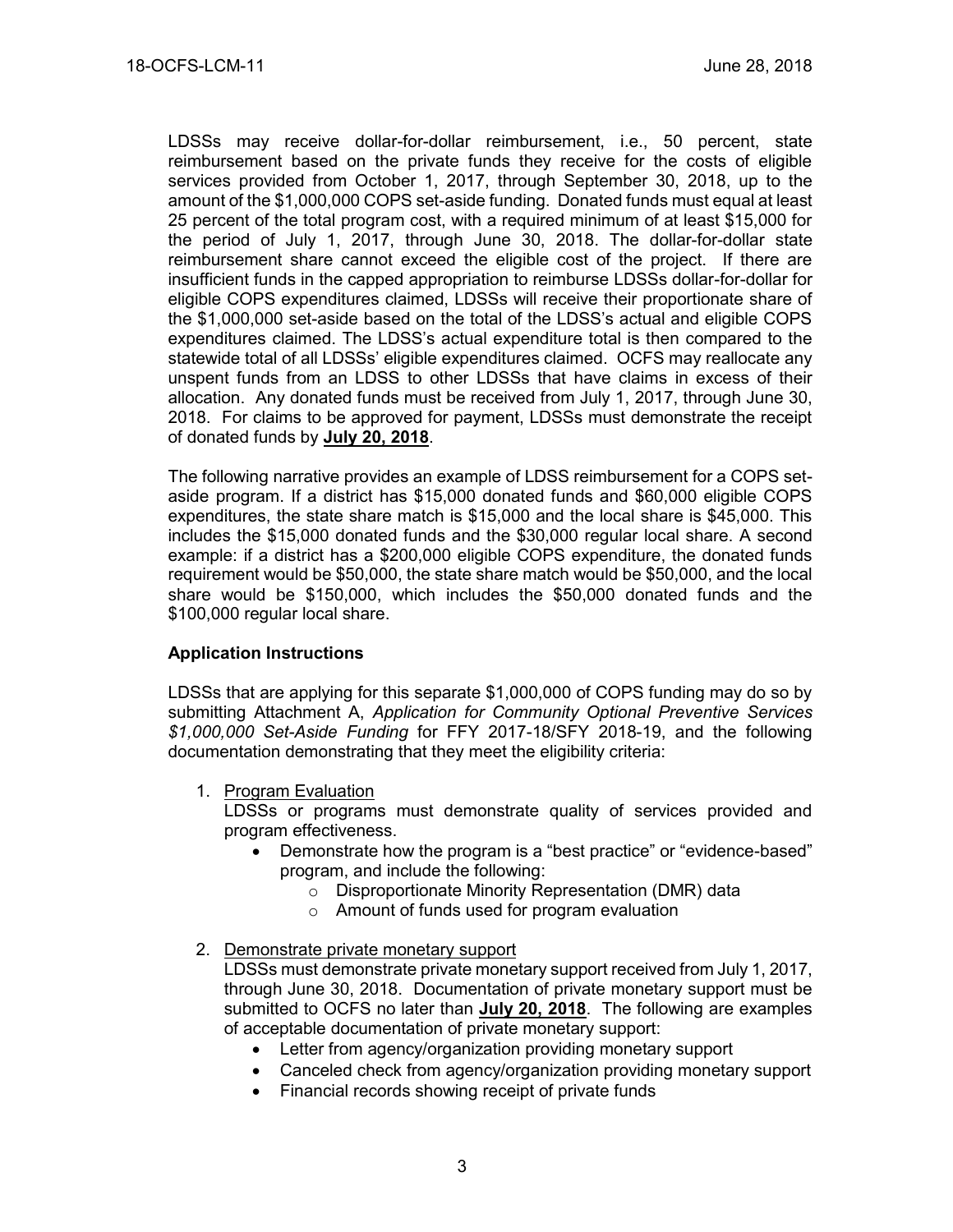LDSSs may receive dollar-for-dollar reimbursement, i.e., 50 percent, state reimbursement based on the private funds they receive for the costs of eligible services provided from October 1, 2017, through September 30, 2018, up to the amount of the \$1,000,000 COPS set-aside funding. Donated funds must equal at least 25 percent of the total program cost, with a required minimum of at least \$15,000 for the period of July 1, 2017, through June 30, 2018. The dollar-for-dollar state reimbursement share cannot exceed the eligible cost of the project. If there are insufficient funds in the capped appropriation to reimburse LDSSs dollar-for-dollar for eligible COPS expenditures claimed, LDSSs will receive their proportionate share of the \$1,000,000 set-aside based on the total of the LDSS's actual and eligible COPS expenditures claimed. The LDSS's actual expenditure total is then compared to the statewide total of all LDSSs' eligible expenditures claimed. OCFS may reallocate any unspent funds from an LDSS to other LDSSs that have claims in excess of their allocation. Any donated funds must be received from July 1, 2017, through June 30, 2018. For claims to be approved for payment, LDSSs must demonstrate the receipt of donated funds by **July 20, 2018**.

The following narrative provides an example of LDSS reimbursement for a COPS setaside program. If a district has \$15,000 donated funds and \$60,000 eligible COPS expenditures, the state share match is \$15,000 and the local share is \$45,000. This includes the \$15,000 donated funds and the \$30,000 regular local share. A second example: if a district has a \$200,000 eligible COPS expenditure, the donated funds requirement would be \$50,000, the state share match would be \$50,000, and the local share would be \$150,000, which includes the \$50,000 donated funds and the \$100,000 regular local share.

### **Application Instructions**

LDSSs that are applying for this separate \$1,000,000 of COPS funding may do so by submitting Attachment A, *Application for Community Optional Preventive Services \$1,000,000 Set-Aside Funding* for FFY 2017-18/SFY 2018-19, and the following documentation demonstrating that they meet the eligibility criteria:

1. Program Evaluation

LDSSs or programs must demonstrate quality of services provided and program effectiveness.

- Demonstrate how the program is a "best practice" or "evidence-based" program, and include the following:
	- o Disproportionate Minority Representation (DMR) data
	- o Amount of funds used for program evaluation

### 2. Demonstrate private monetary support

LDSSs must demonstrate private monetary support received from July 1, 2017, through June 30, 2018. Documentation of private monetary support must be submitted to OCFS no later than **July 20, 2018**. The following are examples of acceptable documentation of private monetary support:

- Letter from agency/organization providing monetary support
- Canceled check from agency/organization providing monetary support
- Financial records showing receipt of private funds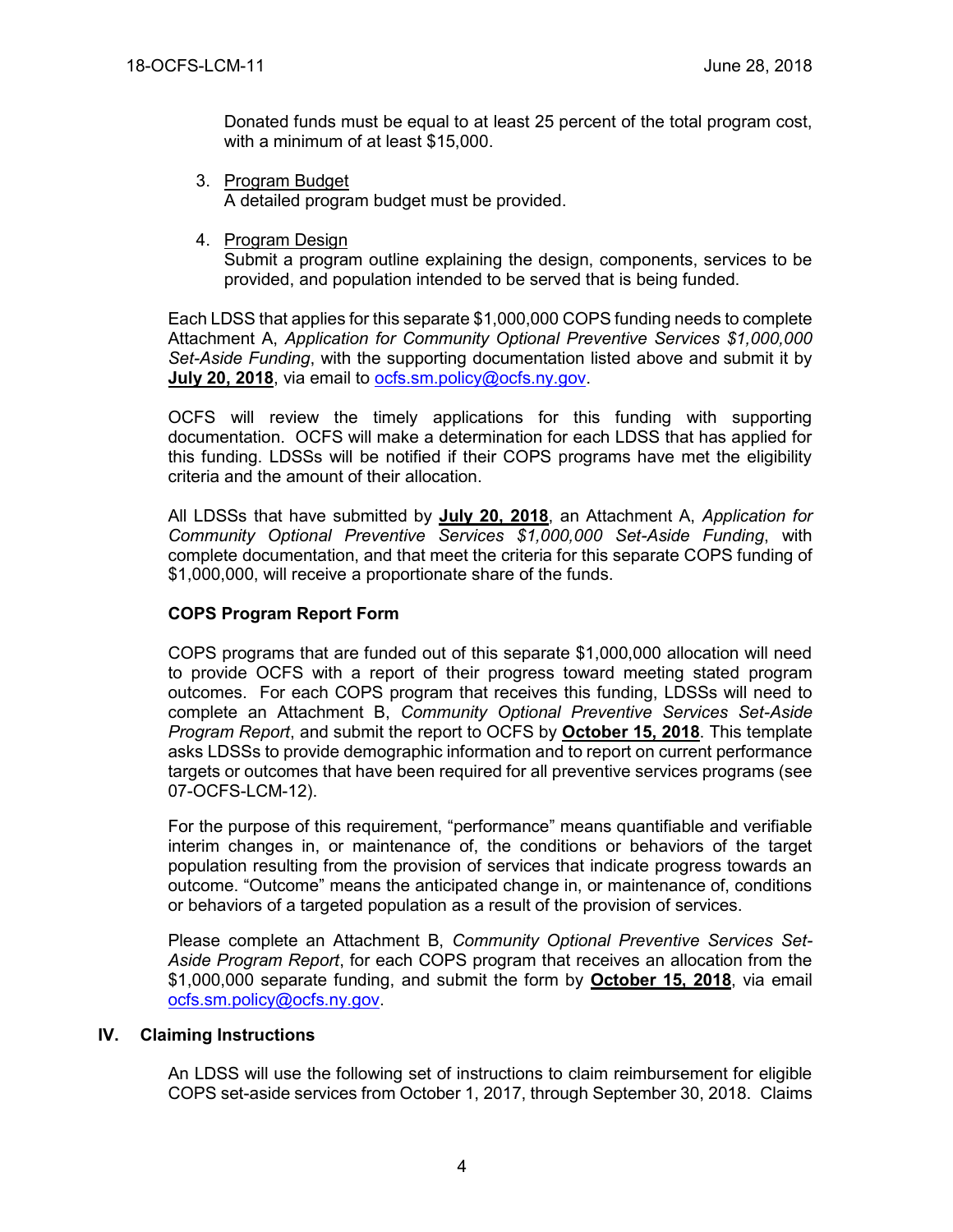Donated funds must be equal to at least 25 percent of the total program cost, with a minimum of at least \$15,000.

- 3. Program Budget A detailed program budget must be provided.
- 4. Program Design

Submit a program outline explaining the design, components, services to be provided, and population intended to be served that is being funded.

Each LDSS that applies for this separate \$1,000,000 COPS funding needs to complete Attachment A, *Application for Community Optional Preventive Services \$1,000,000 Set-Aside Funding*, with the supporting documentation listed above and submit it by **July 20, 2018**, via email to [ocfs.sm.policy@ocfs.ny.gov.](mailto:ocfs.sm.policy@ocfs.ny.gov)

OCFS will review the timely applications for this funding with supporting documentation. OCFS will make a determination for each LDSS that has applied for this funding. LDSSs will be notified if their COPS programs have met the eligibility criteria and the amount of their allocation.

All LDSSs that have submitted by **July 20, 2018**, an Attachment A, *Application for Community Optional Preventive Services \$1,000,000 Set-Aside Funding*, with complete documentation, and that meet the criteria for this separate COPS funding of \$1,000,000, will receive a proportionate share of the funds.

### **COPS Program Report Form**

COPS programs that are funded out of this separate \$1,000,000 allocation will need to provide OCFS with a report of their progress toward meeting stated program outcomes. For each COPS program that receives this funding, LDSSs will need to complete an Attachment B, *Community Optional Preventive Services Set-Aside Program Report*, and submit the report to OCFS by **October 15, 2018**. This template asks LDSSs to provide demographic information and to report on current performance targets or outcomes that have been required for all preventive services programs (see 07-OCFS-LCM-12).

For the purpose of this requirement, "performance" means quantifiable and verifiable interim changes in, or maintenance of, the conditions or behaviors of the target population resulting from the provision of services that indicate progress towards an outcome. "Outcome" means the anticipated change in, or maintenance of, conditions or behaviors of a targeted population as a result of the provision of services.

Please complete an Attachment B, *Community Optional Preventive Services Set-Aside Program Report*, for each COPS program that receives an allocation from the \$1,000,000 separate funding, and submit the form by **October 15, 2018**, via email [ocfs.sm.policy@ocfs.ny.gov.](mailto:ocfs.sm.policy@ocfs.ny.gov)

### **IV. Claiming Instructions**

An LDSS will use the following set of instructions to claim reimbursement for eligible COPS set-aside services from October 1, 2017, through September 30, 2018. Claims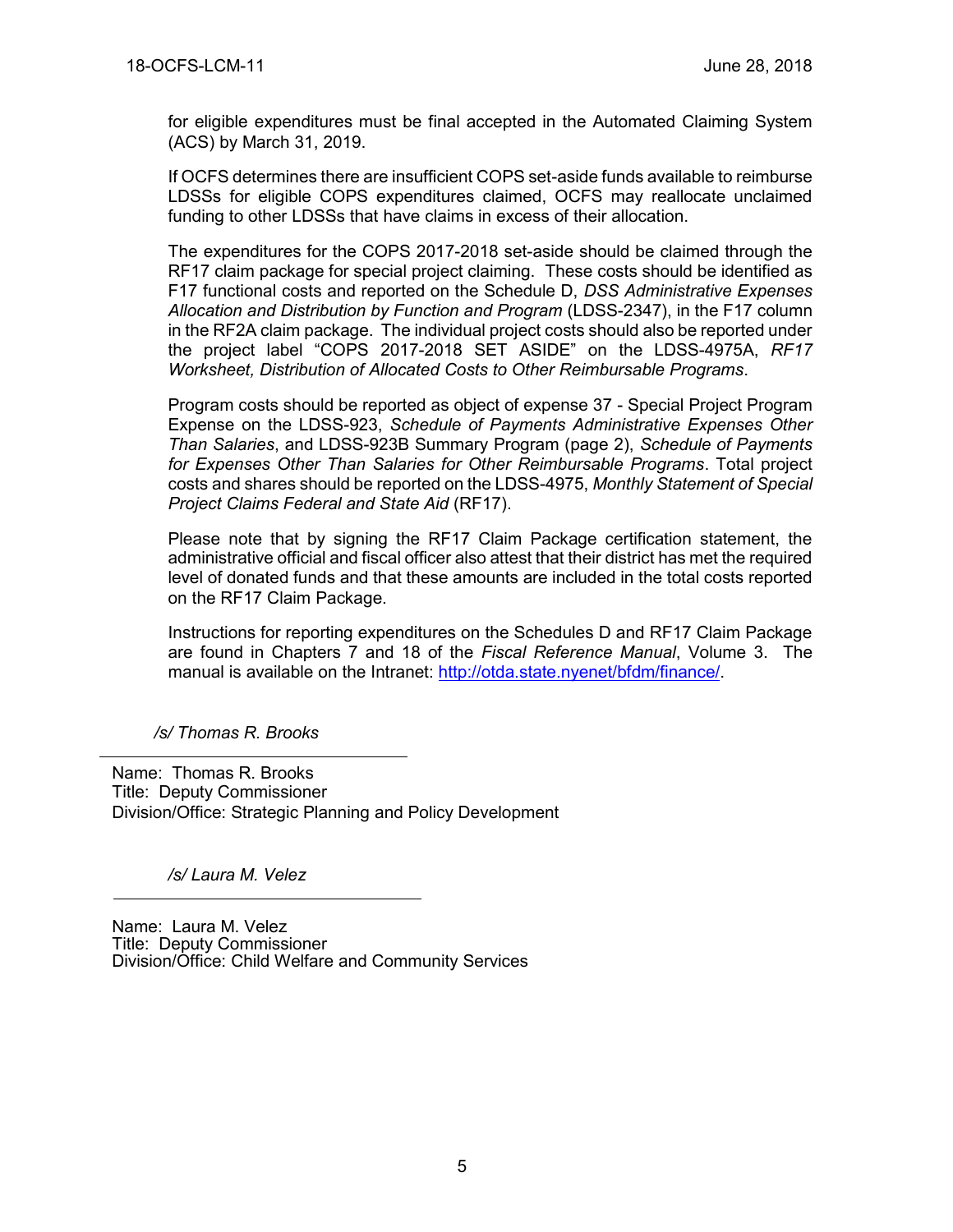for eligible expenditures must be final accepted in the Automated Claiming System (ACS) by March 31, 2019.

If OCFS determines there are insufficient COPS set-aside funds available to reimburse LDSSs for eligible COPS expenditures claimed, OCFS may reallocate unclaimed funding to other LDSSs that have claims in excess of their allocation.

The expenditures for the COPS 2017-2018 set-aside should be claimed through the RF17 claim package for special project claiming. These costs should be identified as F17 functional costs and reported on the Schedule D, *DSS Administrative Expenses Allocation and Distribution by Function and Program* (LDSS-2347), in the F17 column in the RF2A claim package. The individual project costs should also be reported under the project label "COPS 2017-2018 SET ASIDE" on the LDSS-4975A, *RF17 Worksheet, Distribution of Allocated Costs to Other Reimbursable Programs*.

Program costs should be reported as object of expense 37 - Special Project Program Expense on the LDSS-923, *Schedule of Payments Administrative Expenses Other Than Salaries*, and LDSS-923B Summary Program (page 2), *Schedule of Payments for Expenses Other Than Salaries for Other Reimbursable Programs*. Total project costs and shares should be reported on the LDSS-4975, *Monthly Statement of Special Project Claims Federal and State Aid* (RF17).

Please note that by signing the RF17 Claim Package certification statement, the administrative official and fiscal officer also attest that their district has met the required level of donated funds and that these amounts are included in the total costs reported on the RF17 Claim Package.

Instructions for reporting expenditures on the Schedules D and RF17 Claim Package are found in Chapters 7 and 18 of the *Fiscal Reference Manual*, Volume 3. The manual is available on the Intranet: [http://otda.state.nyenet/bfdm/finance/.](http://otda.state.nyenet/bfdm/finance/)

*/s/ Thomas R. Brooks*

Name: Thomas R. Brooks Title: Deputy Commissioner Division/Office: Strategic Planning and Policy Development

*/s/ Laura M. Velez*

Name: Laura M. Velez Title: Deputy Commissioner Division/Office: Child Welfare and Community Services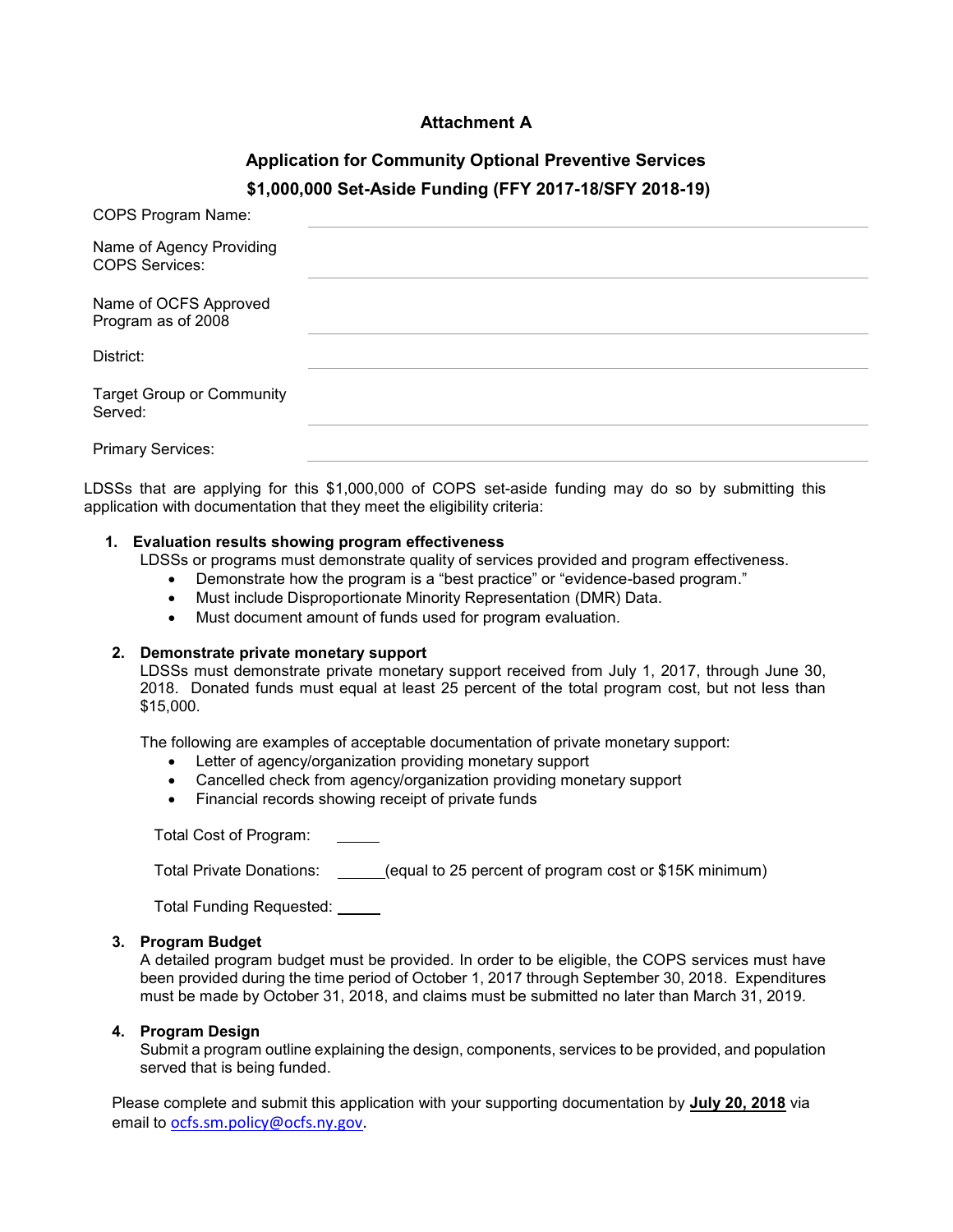### **Attachment A**

## **Application for Community Optional Preventive Services \$1,000,000 Set-Aside Funding (FFY 2017-18/SFY 2018-19)**

| COPS Program Name:                                |  |
|---------------------------------------------------|--|
| Name of Agency Providing<br><b>COPS Services:</b> |  |
| Name of OCFS Approved<br>Program as of 2008       |  |
| District:                                         |  |
| <b>Target Group or Community</b><br>Served:       |  |
| <b>Primary Services:</b>                          |  |

LDSSs that are applying for this \$1,000,000 of COPS set-aside funding may do so by submitting this application with documentation that they meet the eligibility criteria:

#### **1. Evaluation results showing program effectiveness**

LDSSs or programs must demonstrate quality of services provided and program effectiveness.

- Demonstrate how the program is a "best practice" or "evidence-based program."
- Must include Disproportionate Minority Representation (DMR) Data.
- Must document amount of funds used for program evaluation.

#### **2. Demonstrate private monetary support**

LDSSs must demonstrate private monetary support received from July 1, 2017, through June 30, 2018. Donated funds must equal at least 25 percent of the total program cost, but not less than \$15,000.

The following are examples of acceptable documentation of private monetary support:

- Letter of agency/organization providing monetary support
- Cancelled check from agency/organization providing monetary support
- Financial records showing receipt of private funds

Total Cost of Program:

Total Private Donations: \_\_\_\_\_(equal to 25 percent of program cost or \$15K minimum)

Total Funding Requested:

#### **3. Program Budget**

A detailed program budget must be provided. In order to be eligible, the COPS services must have been provided during the time period of October 1, 2017 through September 30, 2018. Expenditures must be made by October 31, 2018, and claims must be submitted no later than March 31, 2019.

#### **4. Program Design**

Submit a program outline explaining the design, components, services to be provided, and population served that is being funded.

Please complete and submit this application with your supporting documentation by **July 20, 2018** via email to [ocfs.sm.policy@ocfs.ny.gov.](mailto:ocfs.sm.policy@ocfs.ny.gov)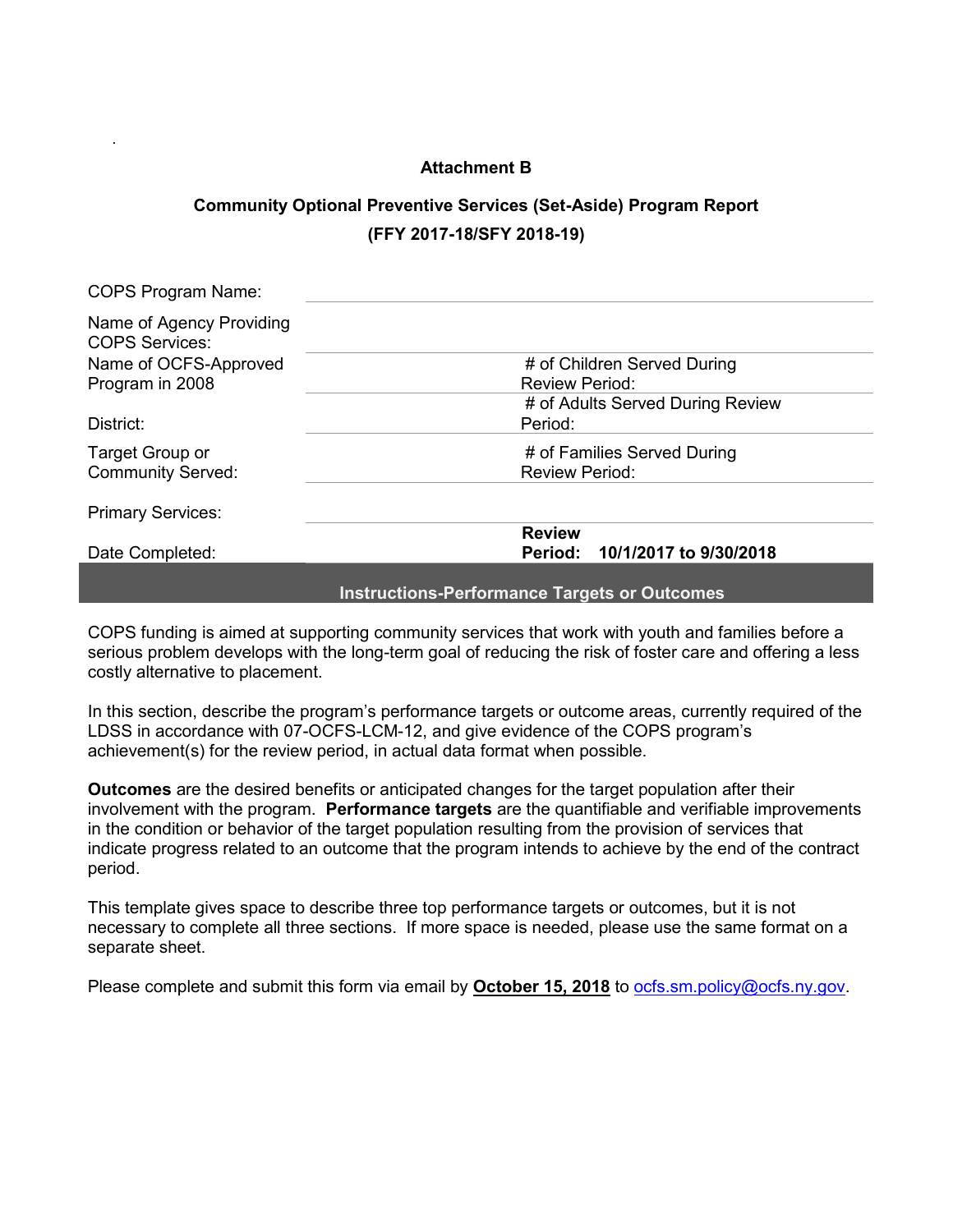### **Attachment B**

.

# **Community Optional Preventive Services (Set-Aside) Program Report (FFY 2017-18/SFY 2018-19)**

| <b>COPS Program Name:</b>                         |                                                     |
|---------------------------------------------------|-----------------------------------------------------|
| Name of Agency Providing<br><b>COPS Services:</b> |                                                     |
| Name of OCFS-Approved                             | # of Children Served During                         |
| Program in 2008                                   | <b>Review Period:</b>                               |
|                                                   | # of Adults Served During Review                    |
| District:                                         | Period:                                             |
| Target Group or                                   | # of Families Served During                         |
| <b>Community Served:</b>                          | <b>Review Period:</b>                               |
| <b>Primary Services:</b>                          |                                                     |
|                                                   | <b>Review</b>                                       |
| Date Completed:                                   | Period: 10/1/2017 to 9/30/2018                      |
|                                                   | <b>Instructions-Performance Targets or Outcomes</b> |

COPS funding is aimed at supporting community services that work with youth and families before a serious problem develops with the long-term goal of reducing the risk of foster care and offering a less costly alternative to placement.

In this section, describe the program's performance targets or outcome areas, currently required of the LDSS in accordance with 07-OCFS-LCM-12, and give evidence of the COPS program's achievement(s) for the review period, in actual data format when possible.

**Outcomes** are the desired benefits or anticipated changes for the target population after their involvement with the program. **Performance targets** are the quantifiable and verifiable improvements in the condition or behavior of the target population resulting from the provision of services that indicate progress related to an outcome that the program intends to achieve by the end of the contract period.

This template gives space to describe three top performance targets or outcomes, but it is not necessary to complete all three sections. If more space is needed, please use the same format on a separate sheet.

Please complete and submit this form via email by **October 15, 2018** to **ocfs.sm.policy@ocfs.ny.gov.**